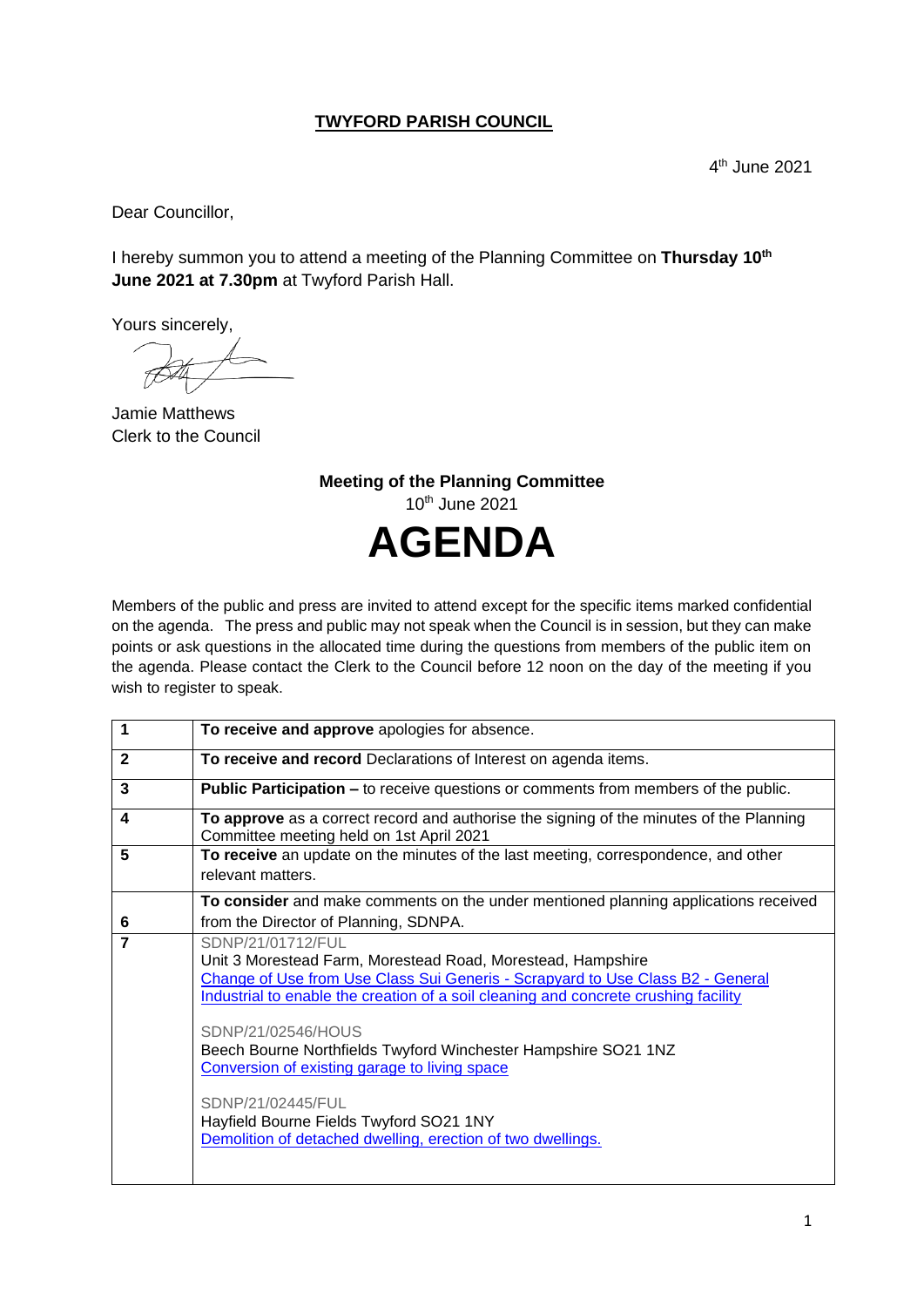## **TWYFORD PARISH COUNCIL**

Dear Councillor,

I hereby summon you to attend a meeting of the Planning Committee on **Thursday 10th June 2021 at 7.30pm** at Twyford Parish Hall.

Yours sincerely,

Jamie Matthews Clerk to the Council

**Meeting of the Planning Committee** 10th June 2021 **AGENDA**

Members of the public and press are invited to attend except for the specific items marked confidential on the agenda. The press and public may not speak when the Council is in session, but they can make points or ask questions in the allocated time during the questions from members of the public item on the agenda. Please contact the Clerk to the Council before 12 noon on the day of the meeting if you wish to register to speak.

| 1                       | To receive and approve apologies for absence.                                                                                                                                                                                                                                                                                                                                                                                                                                                                                     |
|-------------------------|-----------------------------------------------------------------------------------------------------------------------------------------------------------------------------------------------------------------------------------------------------------------------------------------------------------------------------------------------------------------------------------------------------------------------------------------------------------------------------------------------------------------------------------|
| $\mathbf{2}$            | To receive and record Declarations of Interest on agenda items.                                                                                                                                                                                                                                                                                                                                                                                                                                                                   |
| 3                       | <b>Public Participation –</b> to receive questions or comments from members of the public.                                                                                                                                                                                                                                                                                                                                                                                                                                        |
| $\overline{\mathbf{4}}$ | To approve as a correct record and authorise the signing of the minutes of the Planning<br>Committee meeting held on 1st April 2021                                                                                                                                                                                                                                                                                                                                                                                               |
| 5                       | To receive an update on the minutes of the last meeting, correspondence, and other<br>relevant matters.                                                                                                                                                                                                                                                                                                                                                                                                                           |
| 6                       | To consider and make comments on the under mentioned planning applications received<br>from the Director of Planning, SDNPA.                                                                                                                                                                                                                                                                                                                                                                                                      |
| $\overline{7}$          | SDNP/21/01712/FUL<br>Unit 3 Morestead Farm, Morestead Road, Morestead, Hampshire<br>Change of Use from Use Class Sui Generis - Scrapyard to Use Class B2 - General<br>Industrial to enable the creation of a soil cleaning and concrete crushing facility<br>SDNP/21/02546/HOUS<br>Beech Bourne Northfields Twyford Winchester Hampshire SO21 1NZ<br>Conversion of existing garage to living space<br>SDNP/21/02445/FUL<br>Hayfield Bourne Fields Twyford SO21 1NY<br>Demolition of detached dwelling, erection of two dwellings. |